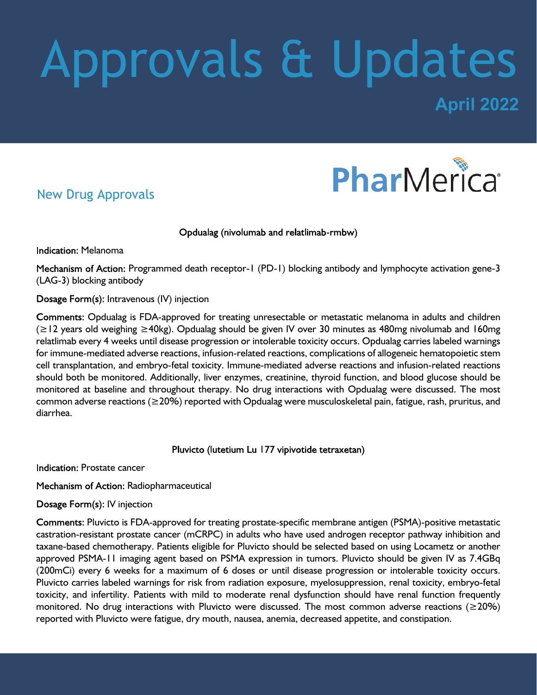# Approvals & Updates

**April 2022**



#### New Drug Approvals

Opdualag (nivolumab and relatlimab-rmbw)

**Indication: Melanoma** 

Mechanism of Action: Programmed death receptor-1 (PD-1) blocking antibody and lymphocyte activation gene-3 (LAG-3) blocking antibody

Dosage Form(s): Intravenous (IV) injection

Comments: Opdualag is FDA-approved for treating unresectable or metastatic melanoma in adults and children (≥12 years old weighing ≥40kg). Opdualag should be given IV over 30 minutes as 480mg nivolumab and 160mg relatlimab every 4 weeks until disease progression or intolerable toxicity occurs. Opdualag carries labeled warnings for immune-mediated adverse reactions, infusion-related reactions, complications of allogeneic hematopoietic stem cell transplantation, and embryo-fetal toxicity. Immune-mediated adverse reactions and infusion-related reactions should both be monitored. Additionally, liver enzymes, creatinine, thyroid function, and blood glucose should be monitored at baseline and throughout therapy. No drug interactions with Opdualag were discussed. The most common adverse reactions (≥20%) reported with Opdualag were musculoskeletal pain, fatigue, rash, pruritus, and diarrhea.

Pluvicto (lutetium Lu 177 vipivotide tetraxetan)

Indication: Prostate cancer

Mechanism of Action: Radiopharmaceutical

Dosage Form(s): IV injection

Comments: Pluvicto is FDA-approved for treating prostate-specific membrane antigen (PSMA)-positive metastatic castration-resistant prostate cancer (mCRPC) in adults who have used androgen receptor pathway inhibition and taxane-based chemotherapy. Patients eligible for Pluvicto should be selected based on using Locametz or another approved PSMA-11 imaging agent based on PSMA expression in tumors. Pluvicto should be given IV as 7.4GBq (200mCi) every 6 weeks for a maximum of 6 doses or until disease progression or intolerable toxicity occurs. Pluvicto carries labeled warnings for risk from radiation exposure, myelosuppression, renal toxicity, embryo-fetal toxicity, and infertility. Patients with mild to moderate renal dysfunction should have renal function frequently monitored. No drug interactions with Pluvicto were discussed. The most common adverse reactions (≥20%) reported with Pluvicto were fatigue, dry mouth, nausea, anemia, decreased appetite, and constipation.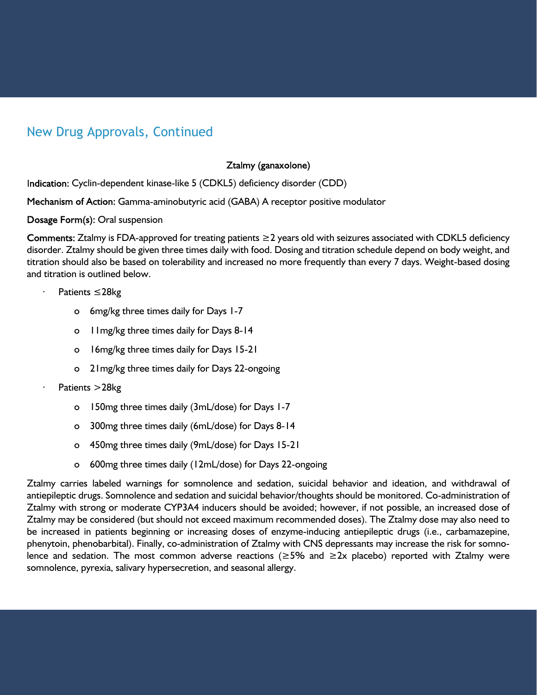### New Drug Approvals, Continued

#### Ztalmy (ganaxolone)

Indication: Cyclin-dependent kinase-like 5 (CDKL5) deficiency disorder (CDD)

Mechanism of Action: Gamma-aminobutyric acid (GABA) A receptor positive modulator

Dosage Form(s): Oral suspension

Comments: Ztalmy is FDA-approved for treating patients  $\geq 2$  years old with seizures associated with CDKL5 deficiency disorder. Ztalmy should be given three times daily with food. Dosing and titration schedule depend on body weight, and titration should also be based on tolerability and increased no more frequently than every 7 days. Weight-based dosing and titration is outlined below.

- Patients ≤28kg
	- o 6mg/kg three times daily for Days 1-7
	- o 11mg/kg three times daily for Days 8-14
	- o 16mg/kg three times daily for Days 15-21
	- o 21mg/kg three times daily for Days 22-ongoing
- Patients >28kg
	- o 150mg three times daily (3mL/dose) for Days 1-7
	- o 300mg three times daily (6mL/dose) for Days 8-14
	- o 450mg three times daily (9mL/dose) for Days 15-21
	- o 600mg three times daily (12mL/dose) for Days 22-ongoing

Ztalmy carries labeled warnings for somnolence and sedation, suicidal behavior and ideation, and withdrawal of antiepileptic drugs. Somnolence and sedation and suicidal behavior/thoughts should be monitored. Co-administration of Ztalmy with strong or moderate CYP3A4 inducers should be avoided; however, if not possible, an increased dose of Ztalmy may be considered (but should not exceed maximum recommended doses). The Ztalmy dose may also need to be increased in patients beginning or increasing doses of enzyme-inducing antiepileptic drugs (i.e., carbamazepine, phenytoin, phenobarbital). Finally, co-administration of Ztalmy with CNS depressants may increase the risk for somnolence and sedation. The most common adverse reactions (≥5% and ≥2x placebo) reported with Ztalmy were somnolence, pyrexia, salivary hypersecretion, and seasonal allergy.